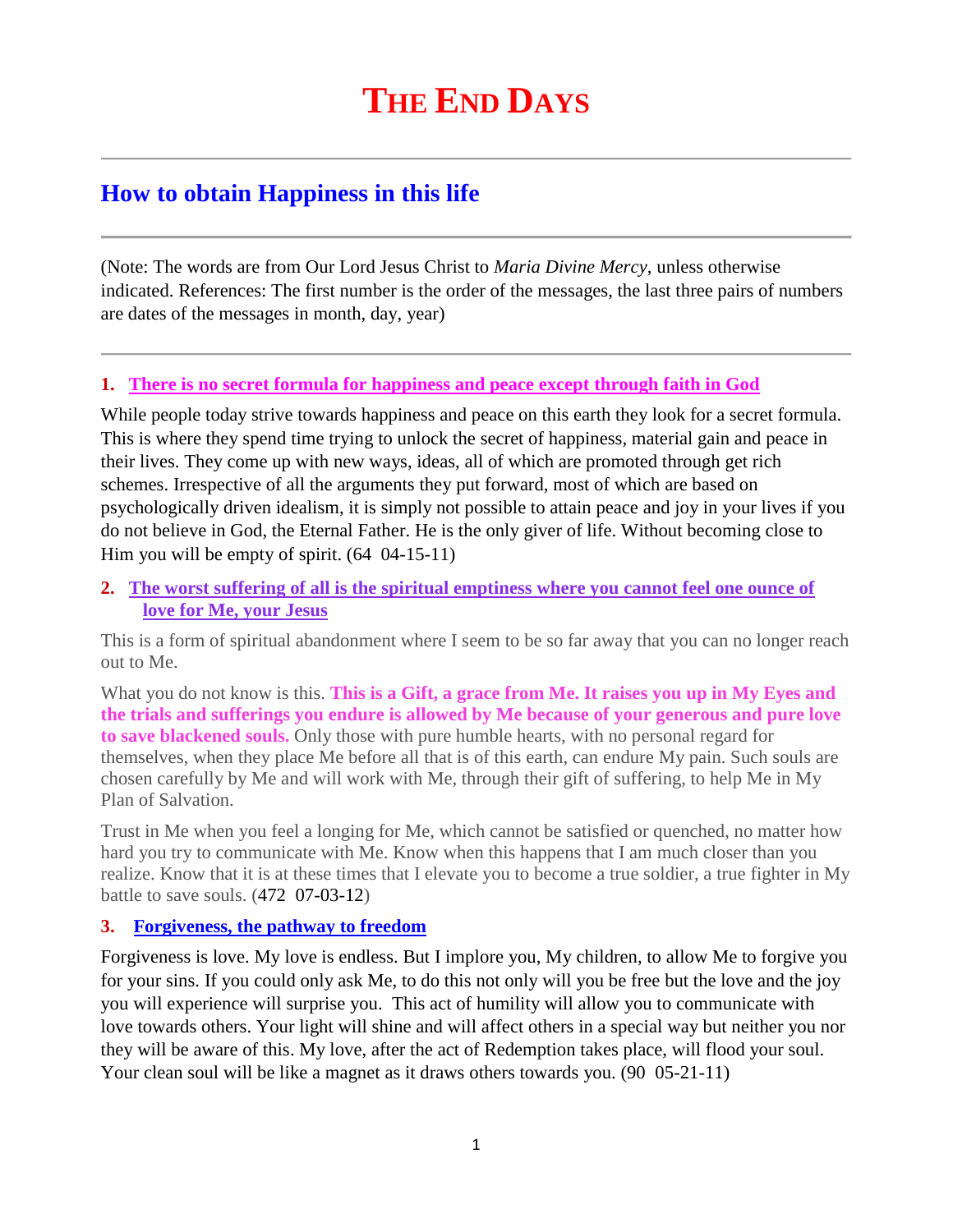# **How to obtain Happiness in this life**

(Note: The words are from Our Lord Jesus Christ to *Maria Divine Mercy*, unless otherwise indicated. References: The first number is the order of the messages, the last three pairs of numbers are dates of the messages in month, day, year)

# **1. There is no secret formula for happiness and peace except through faith in God**

While people today strive towards happiness and peace on this earth they look for a secret formula. This is where they spend time trying to unlock the secret of happiness, material gain and peace in their lives. They come up with new ways, ideas, all of which are promoted through get rich schemes. Irrespective of all the arguments they put forward, most of which are based on psychologically driven idealism, it is simply not possible to attain peace and joy in your lives if you do not believe in God, the Eternal Father. He is the only giver of life. Without becoming close to Him you will be empty of spirit. (64 04-15-11)

**2. [The worst suffering of all is the spiritual emptiness where you cannot feel one ounce of](http://www.thewarningsecondcoming.com/the-worst-suffering-of-all-is-the-spiritual-emptiness-where-you-cannot-feel-one-ounce-of-love-for-me-your-jesus/)  [love for Me, your Jesus](http://www.thewarningsecondcoming.com/the-worst-suffering-of-all-is-the-spiritual-emptiness-where-you-cannot-feel-one-ounce-of-love-for-me-your-jesus/)**

This is a form of spiritual abandonment where I seem to be so far away that you can no longer reach out to Me.

What you do not know is this. **This is a Gift, a grace from Me. It raises you up in My Eyes and the trials and sufferings you endure is allowed by Me because of your generous and pure love to save blackened souls.** Only those with pure humble hearts, with no personal regard for themselves, when they place Me before all that is of this earth, can endure My pain. Such souls are chosen carefully by Me and will work with Me, through their gift of suffering, to help Me in My Plan of Salvation.

Trust in Me when you feel a longing for Me, which cannot be satisfied or quenched, no matter how hard you try to communicate with Me. Know when this happens that I am much closer than you realize. Know that it is at these times that I elevate you to become a true soldier, a true fighter in My battle to save souls. (472 07-03-12)

# **3. [Forgiveness, the pathway to freedom](http://www.thewarningsecondcoming.com/forgiveness-the-pathway-to-freedom/)**

Forgiveness is love. My love is endless. But I implore you, My children, to allow Me to forgive you for your sins. If you could only ask Me, to do this not only will you be free but the love and the joy you will experience will surprise you. This act of humility will allow you to communicate with love towards others. Your light will shine and will affect others in a special way but neither you nor they will be aware of this. My love, after the act of Redemption takes place, will flood your soul. Your clean soul will be like a magnet as it draws others towards you. (90 05-21-11)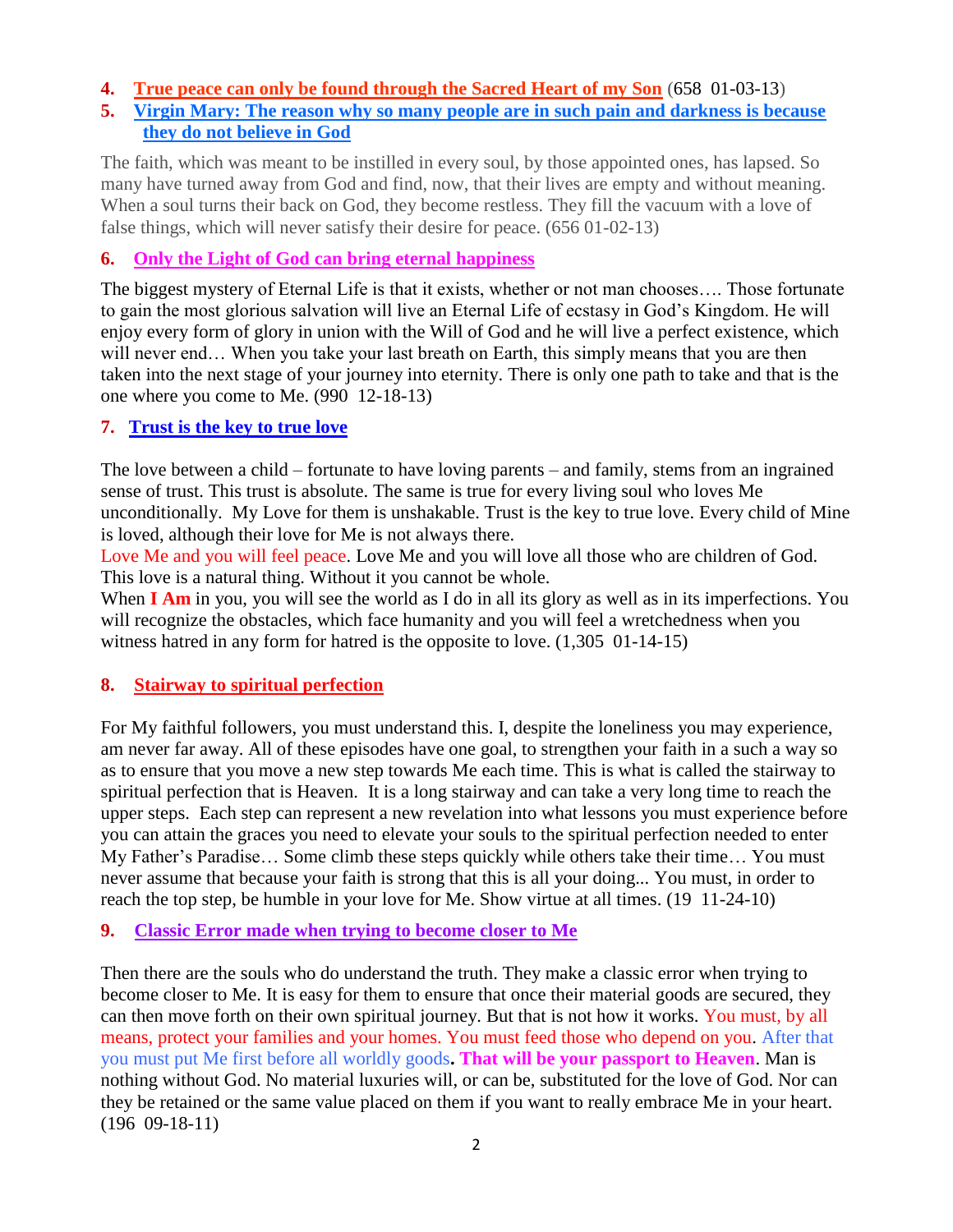## **4. True peace can only be found through the Sacred Heart of my Son** (658 01-03-13)

# **5. [Virgin Mary: The reason why so many people are in such pain and darkness is because](http://www.thewarningsecondcoming.com/virgin-mary-the-reason-why-so-many-people-are-in-such-pain-and-darkness-is-because-they-do-not-believe-in-god/)  [they do not believe in God](http://www.thewarningsecondcoming.com/virgin-mary-the-reason-why-so-many-people-are-in-such-pain-and-darkness-is-because-they-do-not-believe-in-god/)**

The faith, which was meant to be instilled in every soul, by those appointed ones, has lapsed. So many have turned away from God and find, now, that their lives are empty and without meaning. When a soul turns their back on God, they become restless. They fill the vacuum with a love of false things, which will never satisfy their desire for peace. (656 01-02-13)

## **6. [Only the Light of God can bring eternal happiness](http://www.thewarningsecondcoming.com/only-the-light-of-god-can-bring-eternal-happiness/)**

The biggest mystery of Eternal Life is that it exists, whether or not man chooses…. Those fortunate to gain the most glorious salvation will live an Eternal Life of ecstasy in God's Kingdom. He will enjoy every form of glory in union with the Will of God and he will live a perfect existence, which will never end… When you take your last breath on Earth, this simply means that you are then taken into the next stage of your journey into eternity. There is only one path to take and that is the one where you come to Me. (990 12-18-13)

## **7. [Trust is the key to true love](http://www.thewarningsecondcoming.com/trust-is-the-key-to-true-love/)**

The love between a child – fortunate to have loving parents – and family, stems from an ingrained sense of trust. This trust is absolute. The same is true for every [living](http://www.thewarningsecondcoming.com/trust-is-the-key-to-true-love/) soul who loves Me unconditionally. My Love for them is unshakable. Trust is the key to true love. Every child of Mine is loved, although their love for Me is not always there.

Love Me and you will feel peace. Love Me and you will love all those who are children of God. This love is a natural thing. Without it you cannot be whole.

When **I Am** in you, you will see the world as I do in all its glory as well as in its imperfections. You will recognize the obstacles, which face humanity and you will feel a wretchedness when you witness hatred in any form for hatred is the opposite to love.  $(1,305 \ 01-14-15)$ 

## **8. Stairway [to spiritual perfection](http://www.thewarningsecondcoming.com/stairway-to-spiritual-perfection/)**

For My faithful followers, you must understand this. I, despite the loneliness you may experience, am never far away. All of these episodes have one goal, to strengthen your faith in a such a way so as to ensure that you move a new step towards Me each time. This is what is called the stairway to spiritual perfection that is Heaven. It is a long stairway and can take a very long time to reach the upper steps. Each step can represent a new revelation into what lessons you must experience before you can attain the graces you need to elevate your souls to the spiritual perfection needed to enter My Father's Paradise… Some climb these steps quickly while others take their time… You must never assume that because your faith is strong that this is all your doing... You must, in order to reach the top step, be humble in your love for Me. Show virtue at all times. (19 11-24-10)

## **9. [Classic Error made when trying to become closer to Me](http://www.thewarningsecondcoming.com/classic-error-made-when-trying-to-become-closer-to-me/)**

Then there are the souls who do understand the truth. They make a classic error when trying to become closer to Me. It is easy for them to ensure that once their material goods are secured, they can then move forth on their own spiritual journey. But that is not how it works. You must, by all means, protect your families and your homes. You must feed those who depend on you. After that you must put Me first before all worldly goods**. That will be your passport to Heaven**. Man is nothing without God. No material luxuries will, or can be, substituted for the love of God. Nor can they be retained or the same value placed on them if you want to really embrace Me in your heart. (196 09-18-11)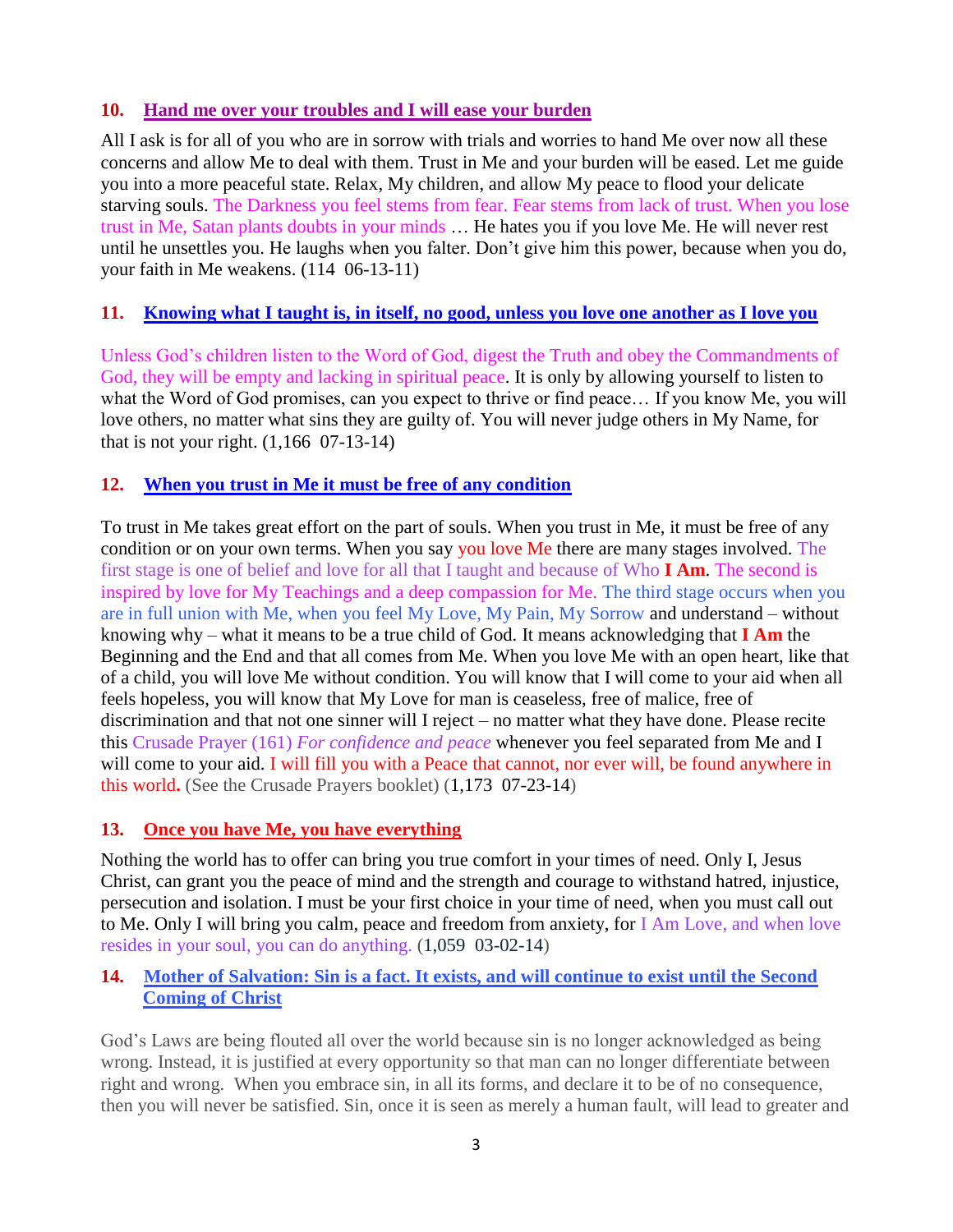## **10. [Hand me over your troubles and I will ease your burden](http://www.thewarningsecondcoming.com/hand-me-over-your-troubles-and-i-will-ease-your-burden/)**

All I ask is for all of you who are in sorrow with trials and worries to hand Me over now all these concerns and allow Me to deal with them. Trust in Me and your burden will be eased. Let me guide you into a more peaceful state. Relax, My children, and allow My peace to flood your delicate starving souls. The Darkness you feel stems from fear. Fear stems from lack of trust. When you lose trust in Me, Satan plants doubts in your minds … He hates you if you love Me. He will never rest until he unsettles you. He laughs when you falter. Don't give him this power, because when you do, your faith in Me weakens. (114 06-13-11)

# **11. [Knowing what I taught is, in itself, no good, unless you love one another as I love you](http://www.thewarningsecondcoming.com/knowing-what-i-taught-is-in-itself-no-good-unless-you-love-one-another-as-i-love-you/)**

Unless God's children listen to the Word of God, digest the Truth and obey the Commandments of God, they will be empty and lacking in spiritual peace. It is only by allowing yourself to listen to what the Word of God promises, can you expect to thrive or find peace… If you know Me, you will love others, no matter what sins they are guilty of. You will never judge others in My Name, for that is not your right.  $(1,166 \ 07-13-14)$ 

# **12. [When you trust in Me it must be free of any condition](http://www.thewarningsecondcoming.com/when-you-trust-in-me-it-must-be-free-of-any-condition/)**

To trust in Me takes great effort on the part of souls. When you trust in Me, it must be free of any condition or on your own terms. When you say you love Me there are many stages involved. The first stage is one of belief and love for all that I taught and because of Who **I Am**. The second is inspired by love for My Teachings and a deep compassion for Me. The third stage occurs when you are in full union with Me, when you feel My Love, My Pain, My Sorrow and understand – without knowing why – what it means to be a true child of God. It means acknowledging that **I Am** the Beginning and the End and that all comes from Me. When you love Me with an open heart, like that of a child, you will love Me without condition. You will know that I will come to your aid when all feels hopeless, you will know that My Love for man is ceaseless, free of malice, free of discrimination and that not one sinner will I reject – no matter what they have done. Please recite this Crusade Prayer (161) *For confidence and peace* whenever you feel separated from Me and I will come to your aid. I will fill you with a Peace that cannot, nor ever will, be found anywhere in this world**.** (See the Crusade Prayers booklet) (1,173 07-23-14)

# **13. [Once you have Me, you have everything](http://www.thewarningsecondcoming.com/once-you-have-me-you-have-everything/)**

Nothing the world has to offer can bring you true comfort in your times of need. Only I, Jesus Christ, can grant you the peace of mind and the strength and courage to withstand hatred, injustice, persecution and isolation. I must be your first choice in your time of need, when you must call out to Me. Only I will bring you calm, peace and freedom from anxiety, for I Am Love, and when love resides in your soul, you can do anything. (1,059 03-02-14)

## **14. [Mother of Salvation: Sin is a fact. It exists, and will continue to exist until the Second](http://www.thewarningsecondcoming.com/mother-of-salvation-sin-is-a-fact-it-exists-and-will-continue-to-exist-until-the-second-coming-of-christ/)  [Coming of Christ](http://www.thewarningsecondcoming.com/mother-of-salvation-sin-is-a-fact-it-exists-and-will-continue-to-exist-until-the-second-coming-of-christ/)**

God's Laws are being flouted all over the world because sin is no longer acknowledged as being wrong. Instead, it is justified at every opportunity so that man can no longer differentiate between right and wrong. When you embrace sin, in all its forms, and declare it to be of no consequence, then you will never be satisfied. Sin, once it is seen as merely a human fault, will lead to greater and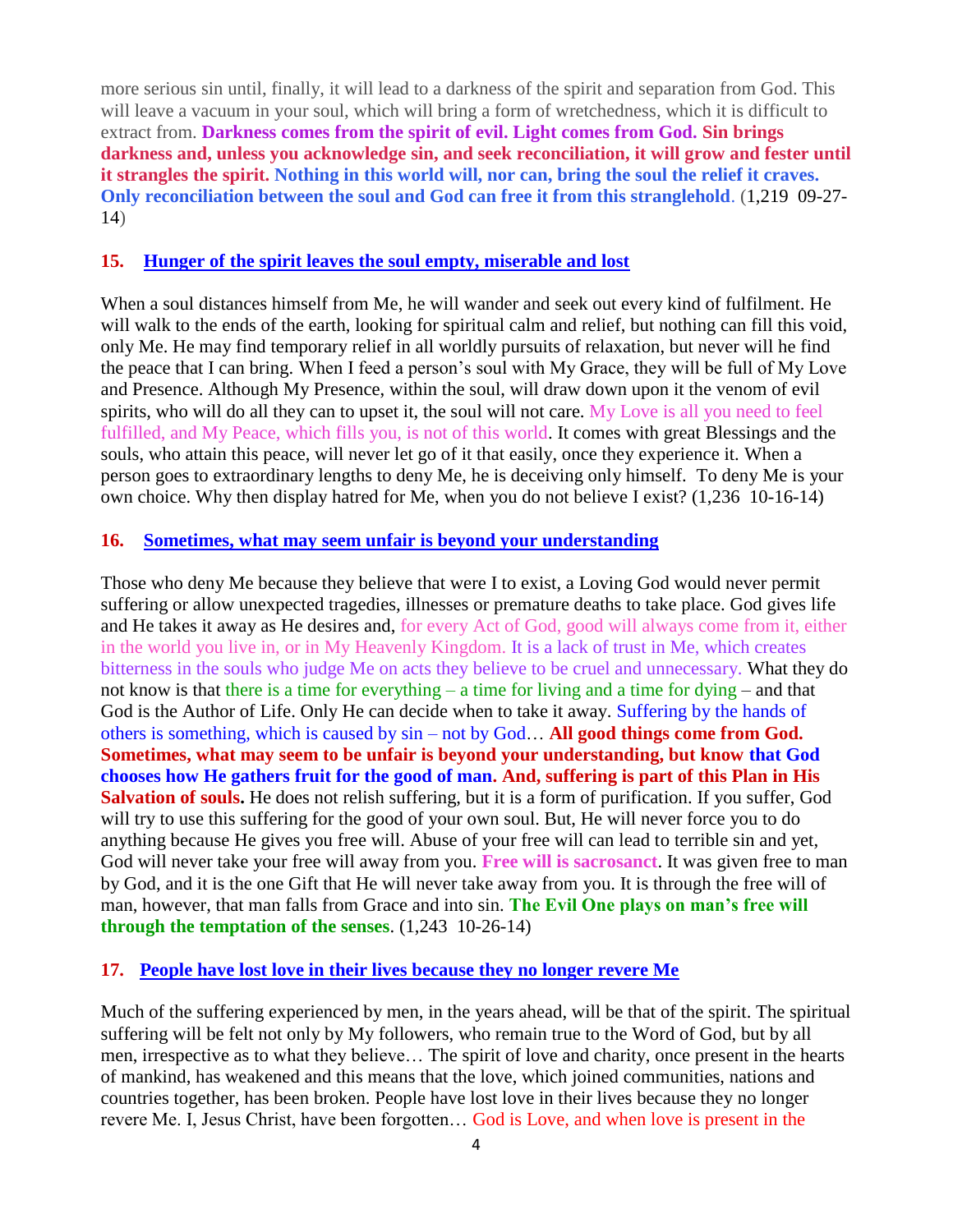more serious sin until, finally, it will lead to a darkness of the spirit and separation from God. This will leave a vacuum in your soul, which will bring a form of wretchedness, which it is difficult to extract from. **Darkness comes from the spirit of evil. Light comes from God. Sin brings darkness and, unless you acknowledge sin, and seek reconciliation, it will grow and fester until it strangles the spirit. Nothing in this world will, nor can, bring the soul the relief it craves. Only reconciliation between the soul and God can free it from this stranglehold**. (1,219 09-27- 14)

#### **15. [Hunger of the spirit leaves the soul empty, miserable and lost](http://www.thewarningsecondcoming.com/hunger-of-the-spirit-leaves-the-soul-empty-miserable-and-lost/)**

When a soul distances himself from Me, he will wander and seek out every kind of fulfilment. He will walk to the ends of the earth, looking for spiritual calm and relief, but nothing can fill this void, only Me. He may find temporary relief in all worldly pursuits of relaxation, but never will he find the peace that I can bring. When I feed a person's soul with My Grace, they will be full of My Love and Presence. Although My Presence, within the soul, will draw down upon it the venom of evil spirits, who will do all they can to upset it, the soul will not care. My Love is all you need to feel fulfilled, and My Peace, which fills you, is not of this world. It comes with great Blessings and the souls, who attain this peace, will never let go of it that easily, once they experience it. When a person goes to extraordinary lengths to deny Me, he is deceiving only himself. To deny Me is your own choice. Why then display hatred for Me, when you do not believe I exist? (1,236 10-16-14)

#### **16. [Sometimes, what may seem unfair is beyond your understanding](http://www.thewarningsecondcoming.com/sometimes-what-may-seem-unfair-is-beyond-your-understanding/)**

Those who deny Me because they believe that were I to exist, a Loving God would never permit suffering or allow unexpected tragedies, illnesses or premature deaths to take place. God gives life and He takes it away as He desires and, for every Act of God, good will always come from it, either in the world you live in, or in My Heavenly Kingdom. It is a lack of trust in Me, which creates bitterness in the souls who judge Me on acts they believe to be cruel and unnecessary. What they do not know is that there is a time for everything – a time for living and a time for dying – and that God is the Author of Life. Only He can decide when to take it away. Suffering by the hands of others is something, which is caused by sin – not by God… **All good things come from God. Sometimes, what may seem to be unfair is beyond your understanding, but know that God chooses how He gathers fruit for the good of man. And, suffering is part of this Plan in His Salvation of souls.** He does not relish suffering, but it is a form of purification. If you suffer, God will try to use this suffering for the good of your own soul. But, He will never force you to do anything because He gives you free will. Abuse of your free will can lead to terrible sin and yet, God will never take your free will away from you. **Free will is sacrosanct**. It was given free to man by God, and it is the one Gift that He will never take away from you. It is through the free will of man, however, that man falls from Grace and into sin. **The Evil One plays on man's free will through the temptation of the senses**. (1,243 10-26-14)

#### **17. [People have lost love in their lives because they no longer revere Me](http://www.thewarningsecondcoming.com/people-have-lost-love-in-their-lives-because-they-no-longer-revere-me/)**

Much of the suffering experienced by men, in the years ahead, will be that of the spirit. The spiritual suffering will be felt not only by My followers, who remain true to the Word of God, but by all men, irrespective as to what they believe… The spirit of love and charity, once present in the hearts of mankind, has weakened and this means that the love, which joined communities, nations and countries together, has been broken. People have lost love in their lives because they no longer revere Me. I, Jesus Christ, have been forgotten… God is Love, and when love is present in the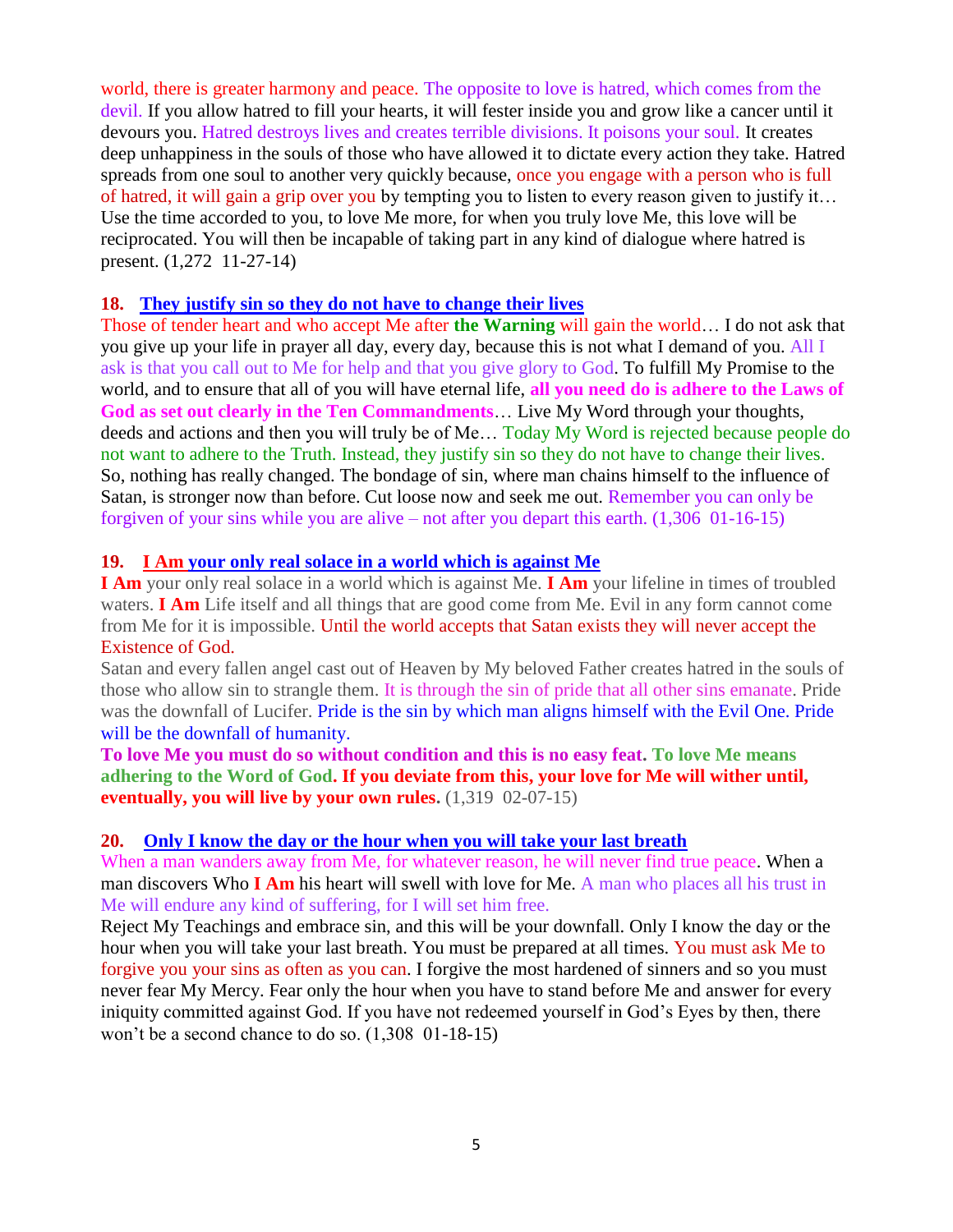world, there is greater harmony and peace. The opposite to love is hatred, which comes from the devil. If you allow hatred to fill your hearts, it will fester inside you and grow like a cancer until it devours you. Hatred destroys lives and creates terrible divisions. It poisons your soul. It creates deep unhappiness in the souls of those who have allowed it to dictate every action they take. Hatred spreads from one soul to another very quickly because, once you engage with a person who is full of hatred, it will gain a grip over you by tempting you to listen to every reason given to justify it... Use the time accorded to you, to love Me more, for when you truly love Me, this love will be reciprocated. You will then be incapable of taking part in any kind of dialogue where hatred is present. (1,272 11-27-14)

#### **18. [They justify sin so they do not have to change their lives](http://www.thewarningsecondcoming.com/they-justify-sin-so-they-do-not-have-to-change-their-lives/)**

Those of tender heart and who accept Me after **the Warning** will gain the world… I do not ask that you give up your life in prayer all day, every day, because this is not what I [demand](http://www.thewarningsecondcoming.com/they-justify-sin-so-they-do-not-have-to-change-their-lives/) of you. All I ask is that you call out to Me for help and that you give glory to God. To fulfill My Promise to the world, and to ensure that all of you will have eternal life, **all you need do is adhere to the Laws of God as set out clearly in [the Ten Commandments](http://www.thewarningsecondcoming.com/they-justify-sin-so-they-do-not-have-to-change-their-lives/)**… Live My Word through your thoughts, [deeds](http://www.thewarningsecondcoming.com/they-justify-sin-so-they-do-not-have-to-change-their-lives/) and actions and then you will truly be of Me… Today My Word is rejected because people do not want to adhere to the Truth. Instead, they justify sin so they do not have to change their lives. So, nothing has really changed. The bondage of sin, where man chains himself to the influence of Satan, is stronger now than before. Cut loose now and seek me out. Remember you can only be forgiven of your sins while you are alive – not after you depart this earth. (1,306 01-16-15)

#### **19. I Am your only real solace in a world which is against Me**

**I Am** your only real solace in a world which is against Me. **I Am** your lifeline in times of troubled waters. **I Am** Life itself and all things that are good come from Me. Evil in any form cannot come from Me for it is impossible. Until the world accepts that Satan exists they will never accept the Existence of God.

Satan and every fallen angel cast out of Heaven by My beloved Father creates hatred in the souls of those who allow sin to strangle them. It is through the sin of pride that all other sins emanate. Pride was the downfall of Lucifer. Pride is the sin by which man aligns himself with the Evil One. Pride will be the downfall of humanity.

**To love Me you must do so without condition and this is no easy feat. To love Me means adhering to the Word of God. If you deviate from this, your love for Me will wither until, eventually, you will live by your own rules.** (1,319 02-07-15)

#### **20. [Only I know the day or the hour when you will take your last breath](http://www.thewarningsecondcoming.com/only-i-know-the-day-or-the-hour-when-you-will-take-your-last-breath-2/)**

When a man wanders away from Me, for whatever reason, he will never find true peace. When a man discovers Who **I Am** his heart will swell with love for Me. A man who places all his trust in Me will endure any kind of suffering, for I will set him free.

Reject My Teachings and embrace sin, and this will be your downfall. Only I know the day or the hour when you will take your last breath. You must be prepared at all times. You must ask Me to forgive you your sins as often as you can. I forgive the most hardened of [sinners](http://www.thewarningsecondcoming.com/only-i-know-the-day-or-the-hour-when-you-will-take-your-last-breath-2/) and so you must never fear My Mercy. Fear only the hour when you have to stand before Me and answer for every [iniquity](http://www.thewarningsecondcoming.com/only-i-know-the-day-or-the-hour-when-you-will-take-your-last-breath-2/) committed against God. If you have not redeemed yourself in God's Eyes by then, there won't be a second chance to do so. (1,308 01-18-15)